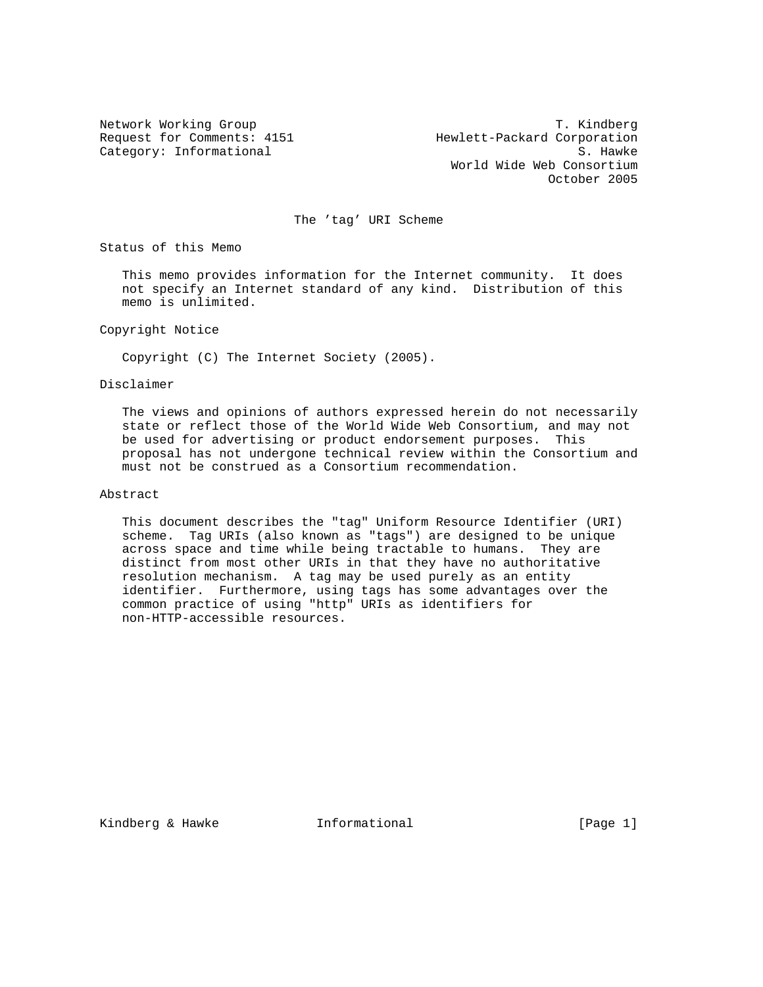Network Working Group<br>Request for Comments: 4151 Mewlett-Packard Corporation Hewlett-Packard Corporation Category: Informational S. Hawke World Wide Web Consortium October 2005

The 'tag' URI Scheme

Status of this Memo

 This memo provides information for the Internet community. It does not specify an Internet standard of any kind. Distribution of this memo is unlimited.

Copyright Notice

Copyright (C) The Internet Society (2005).

Disclaimer

 The views and opinions of authors expressed herein do not necessarily state or reflect those of the World Wide Web Consortium, and may not be used for advertising or product endorsement purposes. This proposal has not undergone technical review within the Consortium and must not be construed as a Consortium recommendation.

### Abstract

 This document describes the "tag" Uniform Resource Identifier (URI) scheme. Tag URIs (also known as "tags") are designed to be unique across space and time while being tractable to humans. They are distinct from most other URIs in that they have no authoritative resolution mechanism. A tag may be used purely as an entity identifier. Furthermore, using tags has some advantages over the common practice of using "http" URIs as identifiers for non-HTTP-accessible resources.

Kindberg & Hawke **Informational Informational** [Page 1]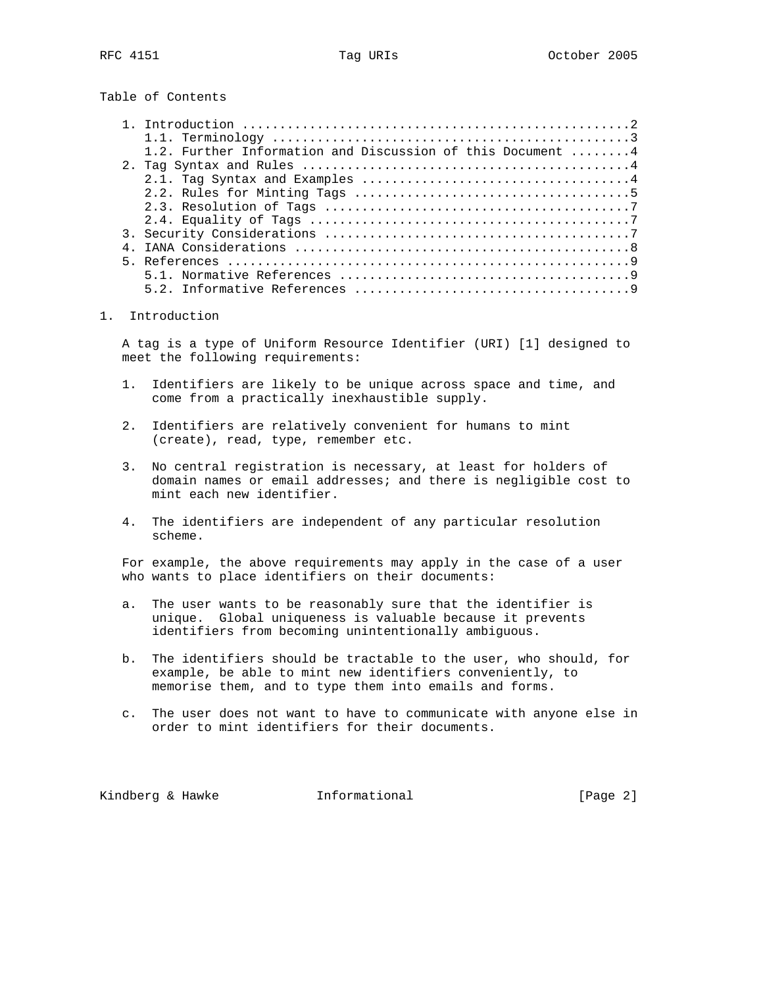Table of Contents

| 1.2. Further Information and Discussion of this Document $\dots \dots$ |
|------------------------------------------------------------------------|
|                                                                        |
|                                                                        |
|                                                                        |
|                                                                        |
|                                                                        |
|                                                                        |
|                                                                        |
|                                                                        |
|                                                                        |
|                                                                        |

## 1. Introduction

 A tag is a type of Uniform Resource Identifier (URI) [1] designed to meet the following requirements:

- 1. Identifiers are likely to be unique across space and time, and come from a practically inexhaustible supply.
- 2. Identifiers are relatively convenient for humans to mint (create), read, type, remember etc.
- 3. No central registration is necessary, at least for holders of domain names or email addresses; and there is negligible cost to mint each new identifier.
- 4. The identifiers are independent of any particular resolution scheme.

 For example, the above requirements may apply in the case of a user who wants to place identifiers on their documents:

- a. The user wants to be reasonably sure that the identifier is unique. Global uniqueness is valuable because it prevents identifiers from becoming unintentionally ambiguous.
- b. The identifiers should be tractable to the user, who should, for example, be able to mint new identifiers conveniently, to memorise them, and to type them into emails and forms.
- c. The user does not want to have to communicate with anyone else in order to mint identifiers for their documents.

Kindberg & Hawke **Informational Example 1** [Page 2]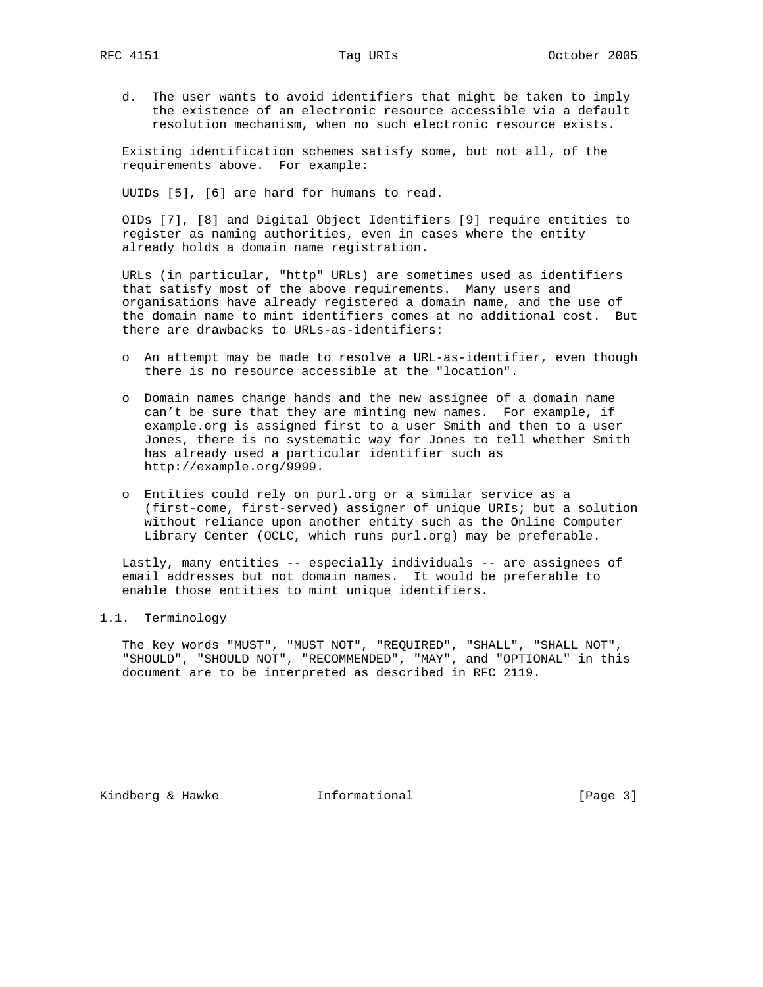d. The user wants to avoid identifiers that might be taken to imply the existence of an electronic resource accessible via a default resolution mechanism, when no such electronic resource exists.

 Existing identification schemes satisfy some, but not all, of the requirements above. For example:

UUIDs [5], [6] are hard for humans to read.

 OIDs [7], [8] and Digital Object Identifiers [9] require entities to register as naming authorities, even in cases where the entity already holds a domain name registration.

 URLs (in particular, "http" URLs) are sometimes used as identifiers that satisfy most of the above requirements. Many users and organisations have already registered a domain name, and the use of the domain name to mint identifiers comes at no additional cost. But there are drawbacks to URLs-as-identifiers:

- o An attempt may be made to resolve a URL-as-identifier, even though there is no resource accessible at the "location".
- o Domain names change hands and the new assignee of a domain name can't be sure that they are minting new names. For example, if example.org is assigned first to a user Smith and then to a user Jones, there is no systematic way for Jones to tell whether Smith has already used a particular identifier such as http://example.org/9999.
- o Entities could rely on purl.org or a similar service as a (first-come, first-served) assigner of unique URIs; but a solution without reliance upon another entity such as the Online Computer Library Center (OCLC, which runs purl.org) may be preferable.

 Lastly, many entities -- especially individuals -- are assignees of email addresses but not domain names. It would be preferable to enable those entities to mint unique identifiers.

## 1.1. Terminology

 The key words "MUST", "MUST NOT", "REQUIRED", "SHALL", "SHALL NOT", "SHOULD", "SHOULD NOT", "RECOMMENDED", "MAY", and "OPTIONAL" in this document are to be interpreted as described in RFC 2119.

Kindberg & Hawke **Informational** [Page 3]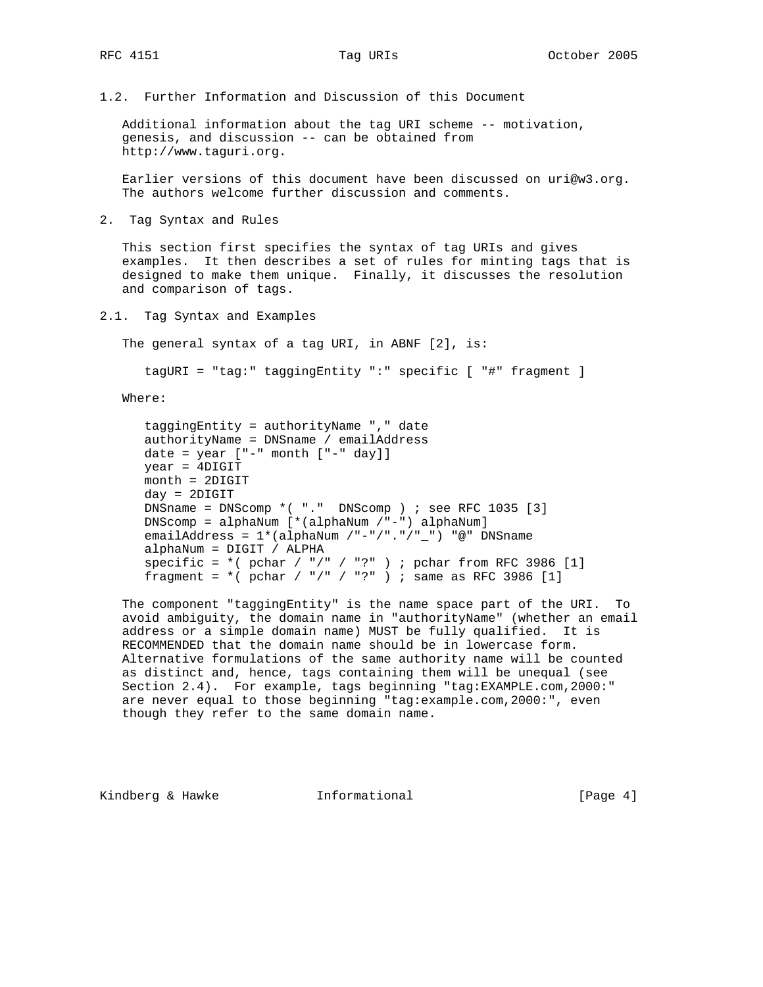1.2. Further Information and Discussion of this Document

 Additional information about the tag URI scheme -- motivation, genesis, and discussion -- can be obtained from http://www.taguri.org.

 Earlier versions of this document have been discussed on uri@w3.org. The authors welcome further discussion and comments.

2. Tag Syntax and Rules

 This section first specifies the syntax of tag URIs and gives examples. It then describes a set of rules for minting tags that is designed to make them unique. Finally, it discusses the resolution and comparison of tags.

2.1. Tag Syntax and Examples

The general syntax of a tag URI, in ABNF [2], is:

tagURI = "tag:" taggingEntity ":" specific [ "#" fragment ]

Where:

```
 taggingEntity = authorityName "," date
 authorityName = DNSname / emailAddress
date = year ["-" month ["-" day]]
 year = 4DIGIT
 month = 2DIGIT
 day = 2DIGIT
 DNSname = DNScomp *( "." DNScomp ) ; see RFC 1035 [3]
 DNScomp = alphaNum [*(alphaNum /"-") alphaNum]
 emailAddress = 1*(alphaNum /"-"/"."/"_") "@" DNSname
 alphaNum = DIGIT / ALPHA
specific = *( pchar / "/" / "?" ) ; pchar from RFC 3986 [1]
fragment = *(\text{pchar} / "/" / "?") ; same as RFC 3986 [1]
```
 The component "taggingEntity" is the name space part of the URI. To avoid ambiguity, the domain name in "authorityName" (whether an email address or a simple domain name) MUST be fully qualified. It is RECOMMENDED that the domain name should be in lowercase form. Alternative formulations of the same authority name will be counted as distinct and, hence, tags containing them will be unequal (see Section 2.4). For example, tags beginning "tag:EXAMPLE.com,2000:" are never equal to those beginning "tag:example.com,2000:", even though they refer to the same domain name.

Kindberg & Hawke **Informational Example 1** [Page 4]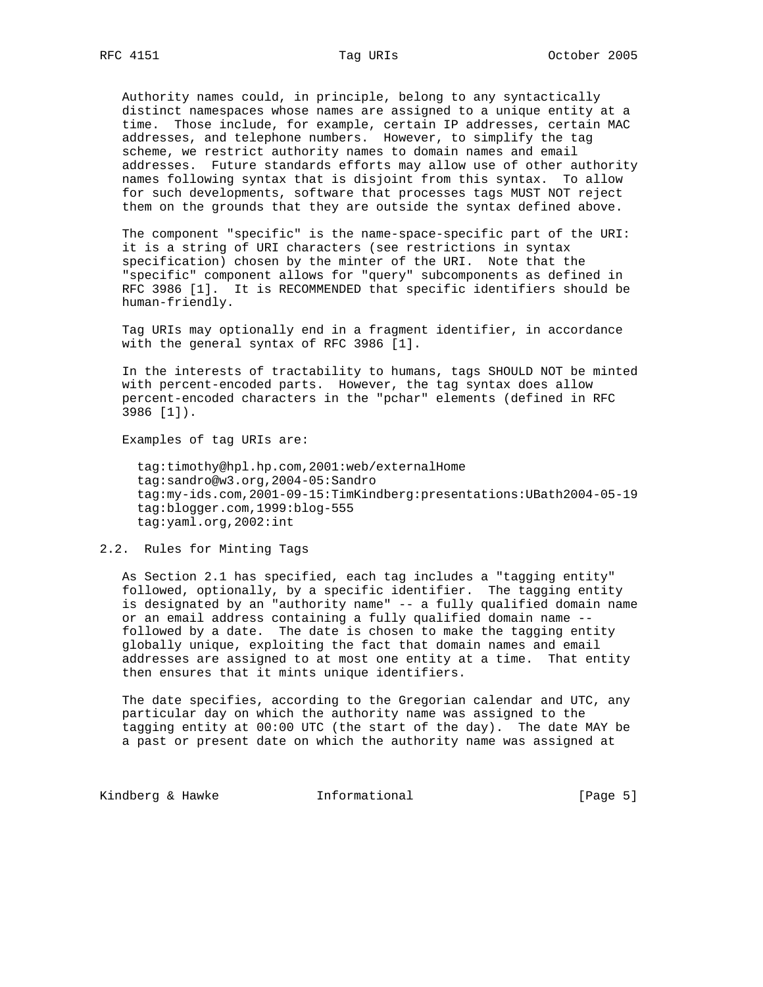Authority names could, in principle, belong to any syntactically distinct namespaces whose names are assigned to a unique entity at a time. Those include, for example, certain IP addresses, certain MAC addresses, and telephone numbers. However, to simplify the tag scheme, we restrict authority names to domain names and email addresses. Future standards efforts may allow use of other authority names following syntax that is disjoint from this syntax. To allow for such developments, software that processes tags MUST NOT reject them on the grounds that they are outside the syntax defined above.

 The component "specific" is the name-space-specific part of the URI: it is a string of URI characters (see restrictions in syntax specification) chosen by the minter of the URI. Note that the "specific" component allows for "query" subcomponents as defined in RFC 3986 [1]. It is RECOMMENDED that specific identifiers should be human-friendly.

 Tag URIs may optionally end in a fragment identifier, in accordance with the general syntax of RFC 3986 [1].

 In the interests of tractability to humans, tags SHOULD NOT be minted with percent-encoded parts. However, the tag syntax does allow percent-encoded characters in the "pchar" elements (defined in RFC 3986 [1]).

Examples of tag URIs are:

 tag:timothy@hpl.hp.com,2001:web/externalHome tag:sandro@w3.org,2004-05:Sandro tag:my-ids.com,2001-09-15:TimKindberg:presentations:UBath2004-05-19 tag:blogger.com,1999:blog-555 tag:yaml.org,2002:int

2.2. Rules for Minting Tags

 As Section 2.1 has specified, each tag includes a "tagging entity" followed, optionally, by a specific identifier. The tagging entity is designated by an "authority name" -- a fully qualified domain name or an email address containing a fully qualified domain name - followed by a date. The date is chosen to make the tagging entity globally unique, exploiting the fact that domain names and email addresses are assigned to at most one entity at a time. That entity then ensures that it mints unique identifiers.

 The date specifies, according to the Gregorian calendar and UTC, any particular day on which the authority name was assigned to the tagging entity at 00:00 UTC (the start of the day). The date MAY be a past or present date on which the authority name was assigned at

Kindberg & Hawke **Informational Example 2** [Page 5]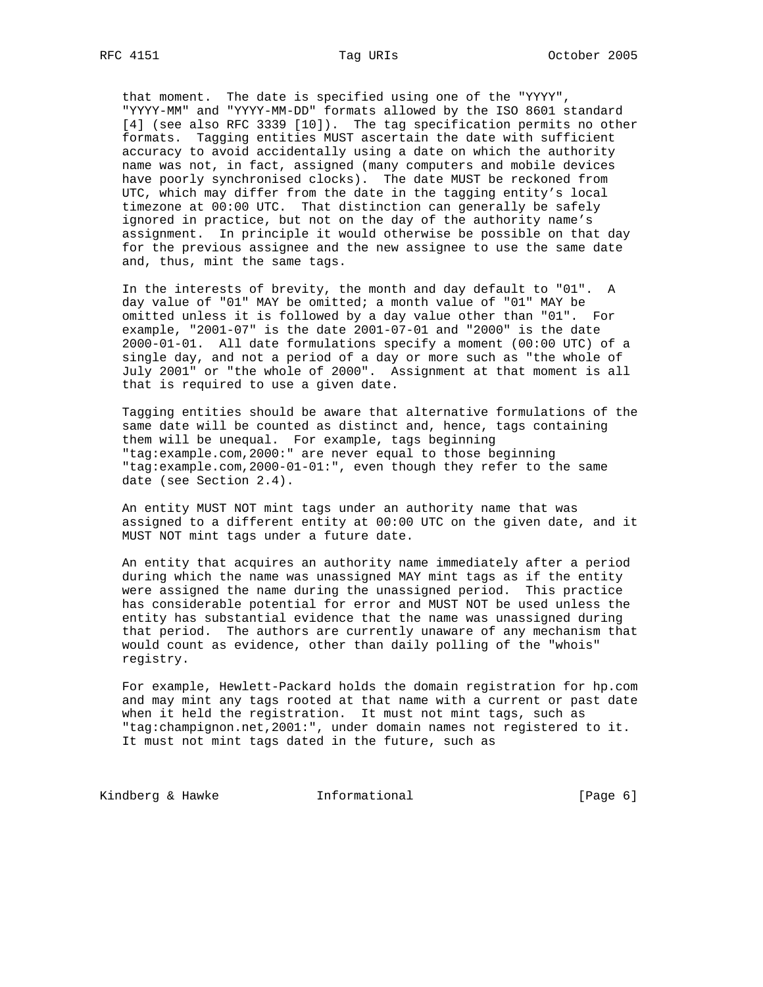that moment. The date is specified using one of the "YYYY", "YYYY-MM" and "YYYY-MM-DD" formats allowed by the ISO 8601 standard [4] (see also RFC 3339 [10]). The tag specification permits no other formats. Tagging entities MUST ascertain the date with sufficient accuracy to avoid accidentally using a date on which the authority name was not, in fact, assigned (many computers and mobile devices have poorly synchronised clocks). The date MUST be reckoned from UTC, which may differ from the date in the tagging entity's local timezone at 00:00 UTC. That distinction can generally be safely

 ignored in practice, but not on the day of the authority name's assignment. In principle it would otherwise be possible on that day for the previous assignee and the new assignee to use the same date and, thus, mint the same tags.

 In the interests of brevity, the month and day default to "01". A day value of "01" MAY be omitted; a month value of "01" MAY be omitted unless it is followed by a day value other than "01". For example, "2001-07" is the date 2001-07-01 and "2000" is the date 2000-01-01. All date formulations specify a moment (00:00 UTC) of a single day, and not a period of a day or more such as "the whole of July 2001" or "the whole of 2000". Assignment at that moment is all that is required to use a given date.

 Tagging entities should be aware that alternative formulations of the same date will be counted as distinct and, hence, tags containing them will be unequal. For example, tags beginning "tag:example.com,2000:" are never equal to those beginning "tag:example.com,2000-01-01:", even though they refer to the same date (see Section 2.4).

 An entity MUST NOT mint tags under an authority name that was assigned to a different entity at 00:00 UTC on the given date, and it MUST NOT mint tags under a future date.

 An entity that acquires an authority name immediately after a period during which the name was unassigned MAY mint tags as if the entity were assigned the name during the unassigned period. This practice has considerable potential for error and MUST NOT be used unless the entity has substantial evidence that the name was unassigned during that period. The authors are currently unaware of any mechanism that would count as evidence, other than daily polling of the "whois" registry.

 For example, Hewlett-Packard holds the domain registration for hp.com and may mint any tags rooted at that name with a current or past date when it held the registration. It must not mint tags, such as "tag:champignon.net,2001:", under domain names not registered to it. It must not mint tags dated in the future, such as

Kindberg & Hawke **Informational** [Page 6]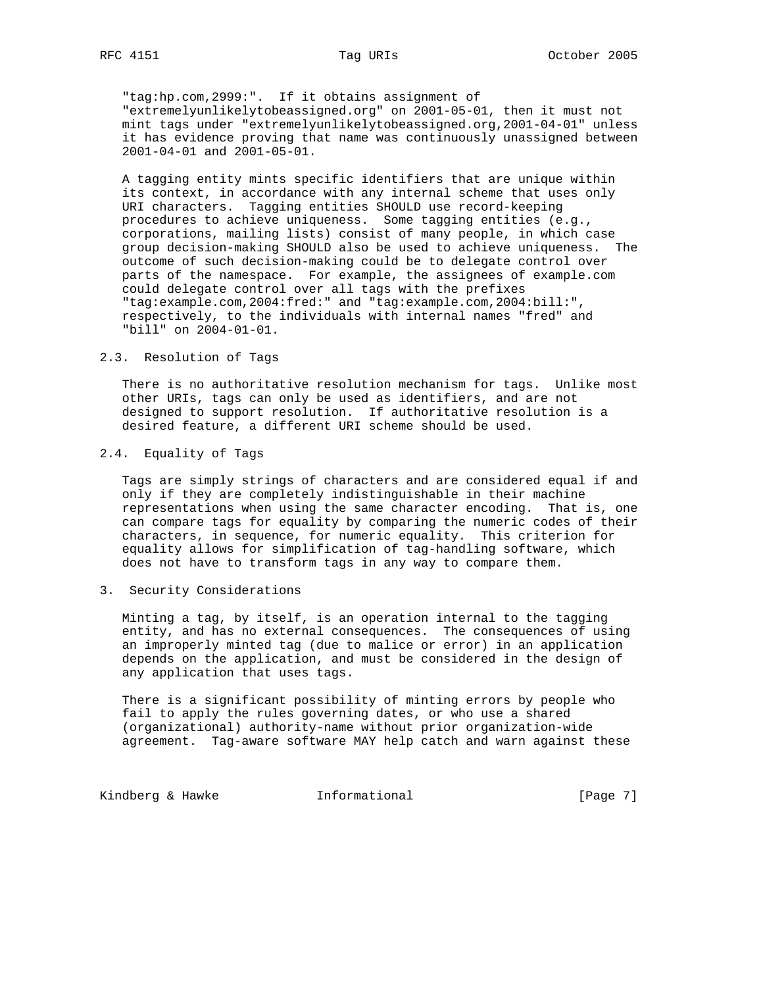"tag:hp.com,2999:". If it obtains assignment of "extremelyunlikelytobeassigned.org" on 2001-05-01, then it must not mint tags under "extremelyunlikelytobeassigned.org,2001-04-01" unless it has evidence proving that name was continuously unassigned between 2001-04-01 and 2001-05-01.

 A tagging entity mints specific identifiers that are unique within its context, in accordance with any internal scheme that uses only URI characters. Tagging entities SHOULD use record-keeping procedures to achieve uniqueness. Some tagging entities (e.g., corporations, mailing lists) consist of many people, in which case group decision-making SHOULD also be used to achieve uniqueness. The outcome of such decision-making could be to delegate control over parts of the namespace. For example, the assignees of example.com could delegate control over all tags with the prefixes "tag:example.com,2004:fred:" and "tag:example.com,2004:bill:", respectively, to the individuals with internal names "fred" and "bill" on 2004-01-01.

#### 2.3. Resolution of Tags

 There is no authoritative resolution mechanism for tags. Unlike most other URIs, tags can only be used as identifiers, and are not designed to support resolution. If authoritative resolution is a desired feature, a different URI scheme should be used.

# 2.4. Equality of Tags

 Tags are simply strings of characters and are considered equal if and only if they are completely indistinguishable in their machine representations when using the same character encoding. That is, one can compare tags for equality by comparing the numeric codes of their characters, in sequence, for numeric equality. This criterion for equality allows for simplification of tag-handling software, which does not have to transform tags in any way to compare them.

## 3. Security Considerations

 Minting a tag, by itself, is an operation internal to the tagging entity, and has no external consequences. The consequences of using an improperly minted tag (due to malice or error) in an application depends on the application, and must be considered in the design of any application that uses tags.

 There is a significant possibility of minting errors by people who fail to apply the rules governing dates, or who use a shared (organizational) authority-name without prior organization-wide agreement. Tag-aware software MAY help catch and warn against these

Kindberg & Hawke **Informational Example 2** [Page 7]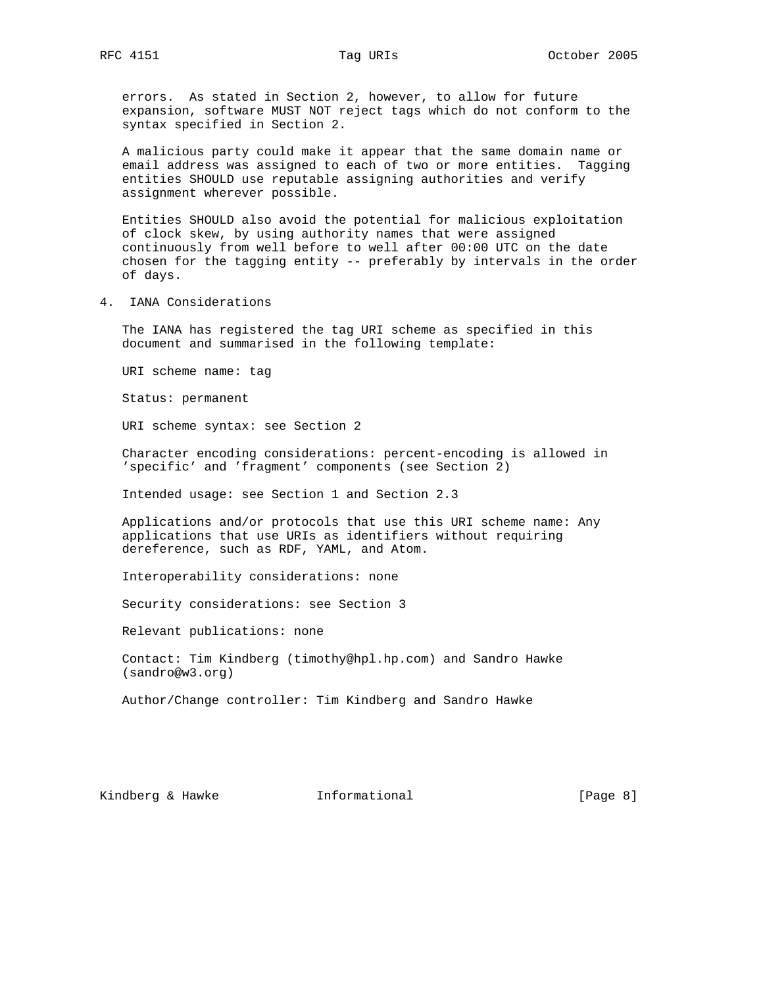errors. As stated in Section 2, however, to allow for future expansion, software MUST NOT reject tags which do not conform to the syntax specified in Section 2.

 A malicious party could make it appear that the same domain name or email address was assigned to each of two or more entities. Tagging entities SHOULD use reputable assigning authorities and verify assignment wherever possible.

 Entities SHOULD also avoid the potential for malicious exploitation of clock skew, by using authority names that were assigned continuously from well before to well after 00:00 UTC on the date chosen for the tagging entity -- preferably by intervals in the order of days.

4. IANA Considerations

 The IANA has registered the tag URI scheme as specified in this document and summarised in the following template:

URI scheme name: tag

Status: permanent

URI scheme syntax: see Section 2

 Character encoding considerations: percent-encoding is allowed in 'specific' and 'fragment' components (see Section 2)

Intended usage: see Section 1 and Section 2.3

 Applications and/or protocols that use this URI scheme name: Any applications that use URIs as identifiers without requiring dereference, such as RDF, YAML, and Atom.

Interoperability considerations: none

Security considerations: see Section 3

Relevant publications: none

 Contact: Tim Kindberg (timothy@hpl.hp.com) and Sandro Hawke (sandro@w3.org)

Author/Change controller: Tim Kindberg and Sandro Hawke

Kindberg & Hawke **Informational Example 2** [Page 8]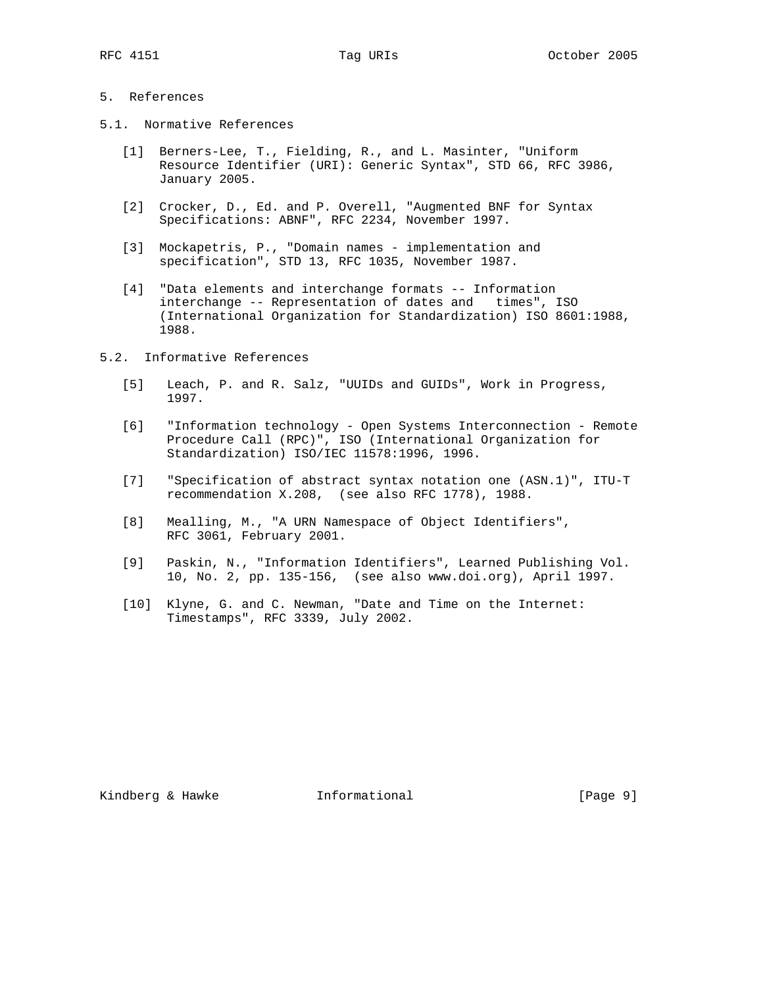# 5. References

- 5.1. Normative References
	- [1] Berners-Lee, T., Fielding, R., and L. Masinter, "Uniform Resource Identifier (URI): Generic Syntax", STD 66, RFC 3986, January 2005.
	- [2] Crocker, D., Ed. and P. Overell, "Augmented BNF for Syntax Specifications: ABNF", RFC 2234, November 1997.
	- [3] Mockapetris, P., "Domain names implementation and specification", STD 13, RFC 1035, November 1987.
	- [4] "Data elements and interchange formats -- Information interchange -- Representation of dates and times", ISO (International Organization for Standardization) ISO 8601:1988, 1988.
- 5.2. Informative References
	- [5] Leach, P. and R. Salz, "UUIDs and GUIDs", Work in Progress, 1997.
	- [6] "Information technology Open Systems Interconnection Remote Procedure Call (RPC)", ISO (International Organization for Standardization) ISO/IEC 11578:1996, 1996.
	- [7] "Specification of abstract syntax notation one (ASN.1)", ITU-T recommendation X.208, (see also RFC 1778), 1988.
	- [8] Mealling, M., "A URN Namespace of Object Identifiers", RFC 3061, February 2001.
	- [9] Paskin, N., "Information Identifiers", Learned Publishing Vol. 10, No. 2, pp. 135-156, (see also www.doi.org), April 1997.
	- [10] Klyne, G. and C. Newman, "Date and Time on the Internet: Timestamps", RFC 3339, July 2002.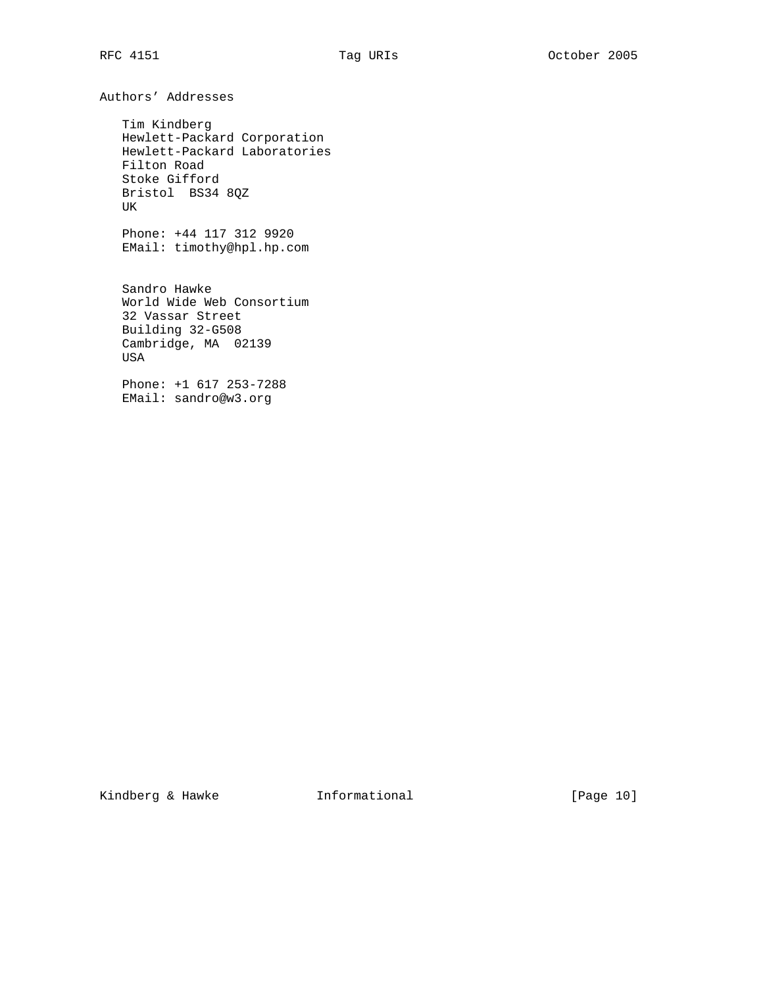Authors' Addresses

 Tim Kindberg Hewlett-Packard Corporation Hewlett-Packard Laboratories Filton Road Stoke Gifford Bristol BS34 8QZ UK

 Phone: +44 117 312 9920 EMail: timothy@hpl.hp.com

 Sandro Hawke World Wide Web Consortium 32 Vassar Street Building 32-G508 Cambridge, MA 02139 USA

 Phone: +1 617 253-7288 EMail: sandro@w3.org

Kindberg & Hawke **Informational** [Page 10]